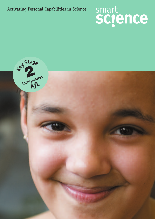Activating Personal Capabilities in Science

# smart<br>SCIENCE

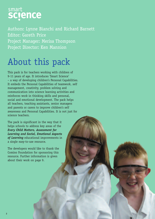

Authors: Lynne Bianchi and Richard Barnett Editor: Gareth Price Project Manager: Merisa Thompson Project Director: Ken Mannion

# About this pack

This pack is for teachers working with children of 9-11 years of age. It introduces 'Smart Science' – a way of developing children's Personal Capabilities. It embeds the Personal Capabilities of teamwork, self management, creativity, problem solving and communication into science learning activities and reinforces work in thinking skills and personal, social and emotional development. The pack helps all teachers, teaching assistants, senior managers and parents or carers to improve children's self awareness and Personal Capabilities. It is not just for science teachers.

The pack is significant in the way that it helps schools to address key areas of the *Every Child Matters, Assessment for Learning and Social, Emotional Aspects of Learning* educational improvements in a single easy-to-use resource.

The developers would like to thank the Comino Foundation for sponsoring this resource. Further information is given about their work on page 9.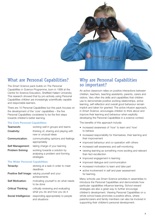

## What are Personal Capabilities?

The *Smart Science* pack builds on *The Personal Capabilities in Science Programme*, born in 1999 at the Centre for Science Education, Sheffield Hallam University. This research showed that by pro-actively using Personal Capabilities children are increasingly scientifically capable and responsible learners.

There are 10 Personal Capabilities but this pack focuses on the development of the 'core' capabilities – the five Personal Capabilities considered to be the first steps towards children's better learning.

#### **The Core Personal Capabilities:**

| Teamwork:                               | working well in groups and teams                                               |
|-----------------------------------------|--------------------------------------------------------------------------------|
| Creativity:                             | thinking of, sharing and playing with<br>new or unusual ideas                  |
| Communication:                          | communicating opinions and feelings<br>appropriately                           |
| Self Management:                        | taking charge of your learning                                                 |
| Problem Solving:                        | working towards a solution by<br>analysing a problem and forming<br>strategies |
| <b>The Wider Personal Capabilities:</b> |                                                                                |
| Tenacity:                               | sticking at a task in order to meet<br>deadlines                               |
|                                         | Positive Self Image: valuing yourself and your<br>achievements                 |
| <b>Self Motivation:</b>                 | motivating yourself to do what needs<br>to be done                             |
| Critical Thinking:                      | critically reviewing and evaluating<br>what you do and how you do it           |
| Social Intelligence:                    | responding appropriately to people<br>and situations                           |
|                                         |                                                                                |

## Why are Personal Capabilities so important?

An active classroom relies on positive interactions between children, teachers, teaching assistants, parents, carers and visitors. Very often the skills and capabilities that children use to demonstrate positive working relationships, active learning, self reflection and overall good behaviour remain implicit and taken for granted. The active infusion approach, in *Smart Science*, encourages children to think about and improve their learning and behaviour when explicitly developing the Personal Capabilities in a science context.

The benefits of this approach include:

- increased awareness of 'how' to learn and 'how' to behave
- increased responsibility for themselves, their learning and their improvement
- improved behaviour and co-operation with others
- increased self-awareness and self-monitoring
- viewing learning as something more exciting and relevant than fact-recollection
- improved engagement in learning
- improved dialogue and communication
- increased motivation to learn and take part
- active involvement in self and peer assessment for learning.

Many schools use *Smart Science* activities in assemblies to introduce the Personal Capabilities and demonstrate how particular capabilities influence learning. School reward strategies are also a great way to further encourage children's development. Viewing Personal Capabilities on a whole school basis promotes a positive ethos, where parents/carers and family members can also be involved in supporting their children's personal development.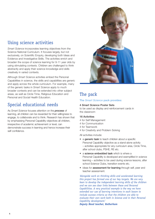## Using science activities

*Smart Science* incorporates learning objectives from the Science National Curriculum. It focuses largely, but not exclusively, on Scientific Enquiry, developing both Ideas and Evidence and Investigative Skills. The activities enrich and broaden the scope of science learning for 9-11 year olds by using stimulating contexts. Children are challenged to think abstractly and apply their science knowledge and skills creatively in varied contexts.

Although *Smart Science* activities embed the Personal Capabilities in science, the skills and capabilities are generic and apply across the whole curriculum. For example, many of the generic tasks in *Smart Science* apply to much broader contexts and can be extended into other subject areas, as well as Circle Time, Religious Education and Personal and Social Health Education.

## Special educational needs

As *Smart Science* focuses attention on the *process* of learning, all children can be rewarded for their willingness to engage, to collaborate and to think. Research has shown that by emphasising Personal Capability objectives all children, irrespective of academic achievement or level, can demonstrate success in learning and hence increase their self confidence.



## The pack

## **The** *Smart Science* **pack provides:**

## 4 *Smart Science* Poster Sets

to be used as display and reinforcement cards in the classroom

#### 16 Activities

- 4 for Self Management
- 4 for Communication
- 4 for Teamwork
- 4 for Creativity and Problem Solving

All activities include:

- a generic task to teach children about a specific Personal Capability objective as a stand-alone activity – activities appropriate for any curriculum area, Circle Time, after school clubs, PSHE, RE etc.
- a science embedded task which is where a Personal Capability is developed and exemplified in science learning – activities to be used during science lessons, after school Science Clubs, transition events etc.
- ideas for assessment for learning through self, peer and teacher assessment.

*'Alongside work on thinking skills and accelerated learning this project has formed one of our key targets. We are very keen to develop the independent learning skills of the children and we can see clear links between these and Personal Capabilities. A very practical example is the way we have extended our use of learning intentions in each lesson to include success criteria so that the children are able to evaluate their own work both in Science and in their Personal Capability development.'* 

*Deputy Head teacher, Rotherham*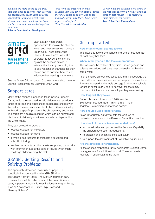*'Children are more aware of the skills that they need to succeed when carrying out collaborative tasks using Personal Capabilities. During a recent lesson observation it was noted, by the head teacher, how well they worked together in a team.'* 

*'This work has impacted on more children than any other initiative, across the whole range of ability, and it has inspired staff in way that I have never experienced before.' Year 5 teacher, Manchester*

*the fact that success is not just achieved through test results – it is helping to raise their self-confidence.' Year 6 teacher, Birmingham*

*'It has made the children more aware of*

#### *Science Coordinator, Birmingham*

# smart **Assessment** for Learning

Each activity incorporates opportunities to involve the children in self and peer assessment using a Smart Grid. These encourage children to use the 'Thumbs Up' approach to review their learning against the success criteria. It extends this idea by prompting them to give reasons or examples for their choice and to consider how this will influence their learning in the future.

See the Smart Grid on page 10 to learn more about how to use the Assessment *for* Learning Smart Grid.

## Support cards

Many of the science embedded tasks include Support Cards, which are designed to help children with as wide a range of abilities and experiences as possible engage with the tasks. The cards are intended to help differentiation by 'unblocking' specific problems the children may encounter. The cards are a flexible resource which can be printed and distributed individually, distributed as sets or displayed to the whole class.

They can be used to provide:

- focused support for individuals
- focused support for teams
- a whole class resource to stimulate discussion and scientific thinking
- teaching assistants or other adults supporting the activity with information about the sorts of issues which might challenge children doing the task.

## GRASP® : Getting Results and Solving Problems

This approach, described more fully on page 9, is specifically incorporated into the 'GRASP It!' and 'Ice Cream Heaven' tasks. The GRASP approach can, however, be useful in other areas of the *Smart Science* pack, in particular scientific investigation planning activities, such as 'Professor Bill', 'Pirate Ship Orca' and 'Sensory Science'.

## Getting started

#### **How often should I use the tasks?**

The ideal is to tackle one generic and one embedded task at least every half term.

#### **When in the year are the tasks appropriate?**

The tasks can be tackled at any time. Linked generic and science embedded tasks are best undertaken within the same week.

All of the tasks are context based and many encourage the use of different science ideas and concepts. The main topic links are indicated in the table on page 6. Most are suitable for use in either Year 5 and 6; however teachers may choose to link them to a science topic they are covering.

#### **How long will they take?**

Generic tasks – minimum of 15-20 minutes. Science Embedded tasks – minimum of 1 hour. Together – a morning or afternoon session.

#### **How should I use a generic task?**

As an introductory activity to help the children to understand more about the Personal Capability objective.

#### **How should I use a science embedded task?**

- to contextualize and put to use the Personal Capability the children have been introduced to.
- to broaden and enrich science curriculum.
- to support the development of Scientific Enquiry skills.

#### **Are the activities differentiated?**

All the science embedded tasks incorporate Support Cards or suggestions for additional support. These will assist teachers in differentiating the tasks.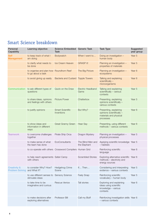## Smart Science breakdown

| Personal<br>Capability                            | Learning objective                                            | Science Embedded Generic Task<br>Task |                                   | <b>Task Type</b>                                                                           | Suggested<br>year group |
|---------------------------------------------------|---------------------------------------------------------------|---------------------------------------|-----------------------------------|--------------------------------------------------------------------------------------------|-------------------------|
| <b>Self</b><br><b>Management</b>                  | to keep track of what I<br>am doing                           | Bodywatch                             | When I went to                    | Doing an investigation -<br>human body                                                     | Year 5                  |
|                                                   | to clarify what needs to<br>be done                           | Ice Cream Heaven                      | <b>GRASP it!</b>                  | Planning an investigation -<br>properties of materials                                     | Year 5                  |
|                                                   | to organise and plan how Roundhorn Reef<br>to go about a task |                                       | The Big Picture                   | Planning an investigation -<br>ecosystems                                                  | Year 6                  |
|                                                   | to avoid giving up easily                                     | Bacteria and Custard Topple Towers    |                                   | Talking and explaining<br>scientifically -<br>microorganisms                               | Year <sub>6</sub>       |
| Communication                                     | to ask different types of<br>questions                        | Quick on the Draw                     | Electric Headband<br>Game         | Talking and explaining<br>scientifically - various<br>contexts                             | Year 5                  |
|                                                   | to share ideas, opinions<br>and feelings with others          | <b>Picture Power</b>                  | Chatterbox                        | Presenting, explaining<br>opinions scientifically -<br>various contexts                    | Year 5                  |
|                                                   | to justify opinions                                           | <b>Smart Scientific</b><br>Inventions | But Why?                          | Presenting, explaining<br>opinions scientifically -<br>materials and physical<br>processes | Year 6                  |
|                                                   | to show ideas and<br>information in different<br>ways         | <b>Great Granny Green</b>             | Hear Say                          | Presenting, using different<br>methods - various contexts                                  | Year 6                  |
| <b>Teamwork</b>                                   | to overcome challenges<br>together                            | Pirate Ship Orca                      | Dragon Mystery                    | Planning an investigation -<br>physical processes                                          | Year 5                  |
|                                                   | to make sense of what<br>the team has done                    | EcoConsultants                        | The Blind Men and<br>the Elephant | Applying scientific knowledge Year 5<br>- habitats                                         |                         |
|                                                   | to co-operate with others Crossword Compilers Human Grid      |                                       |                                   | Reinforcing scientific<br>language                                                         | Year 6                  |
|                                                   | to help reach agreements Safari Camp<br>with others           |                                       | <b>Scrambled Stories</b>          | Exploring alternative scientific Year 6<br>methods - electricity and<br>energy sources     |                         |
| <b>Creativity &amp;</b><br><b>Problem Solving</b> | to consider Why? How?<br>and What if?                         | Hedgehog Crime<br>Scene               | If Then                           | Considering and interpreting<br>evidence - various contexts                                | Year 5                  |
|                                                   | to use different senses to Sensory Science<br>stimulate ideas |                                       | Feely Snap                        | Reinforcing scientific<br>vocabulary - human body                                          | Year 5                  |
|                                                   | to take time to be<br>imaginative and curious                 | <b>Rescue Venice</b>                  | Tall stories                      | Exploring and explaining<br>ideas using scientific<br>knowledge - various<br>contexts      | Year 6                  |
|                                                   | to make decisions after<br>exploring alternatives             | Professor Bill                        | Call my Bluff                     | Reinforcing investigation skills Year 6<br>- various contexts                              |                         |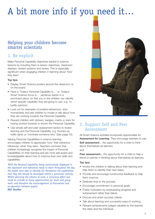# A bit more info if you need it…

## Helping your children become smarter scientists

## 1. Be explicit

Make Personal Capability objectives explicit in science lessons by including them in lesson objectives, classroom displays, reward systems and review. This is especially significant when engaging children in learning about 'how' they learn.

## Top tips:

- Display *Smart Science* posters around the classroom or on the board.
- Have a 'Today's Personal Capability is…' or 'Today's *Smart Science* focus is…' sentence starter in a prominent place, so that you or the children can identify which specific capability they are going to use, e.g. 'to justify opinions'.
- Look out for examples of positive behaviours, stop momentarily and ask children to model or talk about how they are working towards the Personal Capability.
- Reward children with stickers, badges, merits or stars for having worked towards or shown the Personal Capability.
- Use simple self and peer assessment tactics to review learning and the Personal Capability, e.g. thumbs up, traffic lights or 'nominate someone who' (See page 10).

Valuing Personal Capabilities in science learning encourages children to appreciate 'how' their behaviour influences 'what' they learn. Teachers comment that children increasingly recognise the impact of Personal Capabilities on their learning and are more self-aware and knowledgeable about how to improve their own skills and capabilities.

*'With the Personal Capability being continuously displayed in the classroom and references made to them throughout the day the pupils were able to identify for themselves the capabilities that they felt should be developed within a particular activity. Whilst planning the scheme of work, a conscious effort was made to include as many opportunities for team and group work, and therefore the encouragement of discussions and co-operation between pupils.' KS2 Teacher*



## 2. Support Self and Peer Assessment

All *Smart Science* activities incorporate opportunities for Assessment *for* Learning. They encourage teachers to use: Self assessment... the opportunity for a child to think about themselves as learners. and

Peer assessment... the opportunity for a child to help a friend or partner in thinking about themselves as learners.

#### Top tips:

- Involve the children in talking about their learning and help them to identify their next steps.
- Provide and encourage constructive feedback to help them improve.
- Dedicate time to the process.
- Encourage commitment to personal goals.
- Foster motivation by emphasising progress and achievement rather than failure.
- Discuss and share success criteria.
- Talk about learning and successful ways of working.
- Reward achievements judged valuable by the teacher, the class and the individual.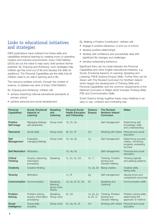## Links to educational initiatives and strategies

DfES publications have outlined how these skills and capabilities enhance learning by creating more co-operative, creative and inclusive environments. *Every Child Matters* (2003) set out the need to help every child achieve his/her potential. By 'Enjoying and Achieving' such strategies help children get the most out of life and develop the skills for adulthood. The Personal Capabilities are the skills that all children need to do well in learning and in life.

This resource enables schools, through the context of science, to address key aims of *Every Child Matters.*

By 'Enjoying and Achieving' children will:

- achieve stretching national educational standards at primary school
- achieve personal and social development.

By 'Making a Positive Contribution' children will:

- engage in positive behaviour, in and out of school
- develop positive relationships
- develop self confidence and successfully deal with significant life changes and challenges
- develop enterprising behaviour.

Significant links can be made between the Personal Capabilities and other English educational initiatives, e.g. Social, Emotional Aspects of Learning; Speaking and Listening; PSHE Science Enquiry Skills. Further links can be drawn with The Revised Curriculum for Northern Ireland which targets the development of Thinking Skills and Personal Capabilities; and the common requirements of the National Curriculum in Wales which includes Thinking Skills, PSE and Communication Skills.

*Smart Science* brings together these many initiatives in an easy to use, coherent and motivating way.

| Personal<br>Capabilities           | Social, Emotional<br>Aspects of<br>Learning            | Speaking<br>and<br>Listening                    | <b>Personal Social</b><br><b>Health Education</b><br>and Citizenship | <b>Science</b><br><b>Enquiry</b> | <b>The Revised</b><br>Northern Ireland<br>Curriculum       | Wales                                                                                 |
|------------------------------------|--------------------------------------------------------|-------------------------------------------------|----------------------------------------------------------------------|----------------------------------|------------------------------------------------------------|---------------------------------------------------------------------------------------|
| <b>Positive</b><br>Self Image      | Managing feelings,<br>self awareness                   | Group work                                      | 1b, 5c, 5e                                                           |                                  | Self management                                            | Determining self<br>knowledge, skills<br>and understanding                            |
| <b>Teamwork</b>                    | Social skills                                          | Group work                                      | 2b, 5c, 5f                                                           | 2m                               | Working with others                                        | Personal and social<br>education                                                      |
| <b>Self</b><br>Management          | Evaluation,<br>managing feelings                       | Group work                                      | 1b, 4a, 5a                                                           | 1 <sub>g</sub>                   | Self management                                            | Determining success<br>criteria, monitoring<br>progress, evaluating<br><b>SUCCESS</b> |
| <b>Self Motivation</b>             | Motivation                                             |                                                 | 1b, 4a, 5a                                                           |                                  | Self management                                            | Personal and social<br>education                                                      |
| <b>Critical</b><br><b>Thinking</b> | Enquiry, reasoning,<br>information<br>processing       | Speaking                                        | 1c, 2c, 5c, 5d                                                       | 1b, 1i                           | Thinking, Problem<br>Solving and<br>Decision Making        | Thinking logically<br>and seeking patterns                                            |
| <b>Creativity</b>                  | Creative thinking                                      |                                                 |                                                                      | 1a, 2a, 2h                       | Being creative                                             | Creative skills,<br>taking risks                                                      |
| <b>Tenacity</b>                    | Motivation                                             |                                                 | 1c, 3f                                                               | 2g                               | Self management                                            | Valuing errors and<br>unexpected outcomes                                             |
| Communication                      | Communication                                          | Speaking,<br>listening,<br>group work,<br>drama | 1a, 2a, 2f, 5c, 5e                                                   | 2h                               | Speaking and<br>Listening                                  | <b>Communication skills</b>                                                           |
| Problem<br>Solving                 | Problem solving,<br>enquiry, information<br>processing | Speaking,<br>Group work                         | 5c, 5d                                                               | 1a, 2a, 2c,<br>2j, 2k, 2l        | Thinking, Problem<br>Solving and<br><b>Decision Making</b> | Problem solving skills,<br>determining the<br>approach or method                      |
| Social<br>Intelligence             | Social skills,<br>empathy                              | Group work                                      | 2c, 4a, 4c, 5f                                                       | 2m                               | Working with others                                        | Personal and social<br>education                                                      |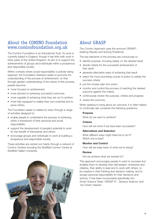## About the COMINO Foundation www.cominofoundation.org.uk

The Comino Foundation is an Educational Trust. Its work is currently based in England, though it has links with work in other parts of the United Kingdom. Its aim is to support the achievements of groups and individuals within a prosperous and responsible society.

Within contexts where social responsibility is actively being explored, the Foundation therefore seeks to promote the understanding of the process of achievement, so that through greater understanding of the nature of this process, people become:

- more focused on achievement
- more attuned to achieving successful outcomes
- more capable of achieving what they set out to achieve
- more fully equipped to realise their own potential and to serve others.

The Foundation seeks to realise its vision through a range of activities designed to:

- enable people to understand the process of achieving, within a framework of their personal and social responsibility
- support the development of people's potential to work for the benefit of themselves and others
- encourage groups and individuals to work at building a prosperous and responsible society.

These activities are carried out mainly through a network of Comino Centres including the Sheffield Comino Centre at Sheffield Hallam University.



## About GRASP

The Comino Approach uses the acronym GRASP® (Getting Results and Solving Problems).

The key elements of the process are consciously to:

- identify purpose, focusing clearly on the desired result
- decide criteria for the successful achievement of that result
- generate alternative ways of achieving that result
- select the most promising course of action to satisfy the success criteria
- put the chosen plan into action
- monitor and control the process of reaching the desired outcome against the criteria
- continuously review the purpose, criteria and progress
- review the outcome.

When seeking to bring about an outcome, it is often helpful to continually ask ourselves the following questions:

#### **Purpose**

What do we want to achieve?

#### **Criteria**

How will we know if we have been successful?

#### **Alternatives and Selection**

What different ways might there be to do it? Which one is best?

#### **Monitor and Control**

How will we keep track of what we're doing?

#### **Review**

Did we achieve what we wanted to?

This approach encourages people to want to succeed and enables them to develop their self-esteem, enterprise and initiative, their ability to lead and to work with others, to be creative in their thinking and decision making, and to accept personal responsibility for their decisions and actions. It has been incorporated specifically into *Smart Science* Tasks 'GRASP it!', 'Sensory Science' and 'Ice Cream Heaven'.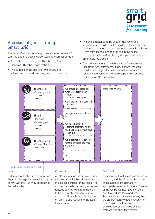

## Assessment *for* Learning: Smart Grid

The Smart Grid is an easy way to enhance Assessment *for* Learning and has been incorporated into each set of tasks.

- Each grid is built using the 'Thumbs Up, Thumbs Sideways, Thumbs Down' technique.
- The purpose of the grid is to give structure to self-assessment and encouragement to the children.
- The grid is designed to be used orally; however if teachers wish to collect written evidence the children can be asked to shade in and complete the boxes in Column 2 that they choose, and to fill in text in the space provided in Column 3. A blank grid is provided on the Smart Science website.
- The grid is written as a collaborative self-assessment tool, using 'we' statements. If they choose, teachers could adapt the grid for individual self-assessment by using 'I' statements. A grid of this type is also provided on the Smart Science website.



Column 1:

Children should choose a symbol from this column to give an overall indication of how well they feel they approached the tasks in hand.

#### Column 2:

A selection of reasons are provided in this column which link directly back to the success criteria for the tasks. The children can select as many or as few reasons as they wish from this column to help to justify their choice from column 1. Space is provided for the children to add reasons to the list if they wish to.

#### Column 3:

It is important that the assessment leads to action, and therefore the children are encouraged to consider and, if appropriate, to record in Column 3 some of the key points they have learnt and how they will use them next time. Teachers should, where necessary, help the children identify ways in which they can improve their learning in future activities, focusing on step by step methods and short term targets.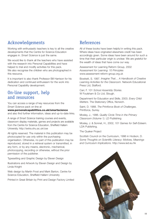## Acknowledgements

Working with enthusiastic teachers is key to all the creative developments that the Centre for Science Education engages in. *Smart Science* is just the same.

We would like to thank all the teachers who have assisted with the research into Personal Capabilities and have helped to trial and modify activities for this pack. We also recognise the children who are photographed in this resource.

It is important to also thank Professor Bill Harrison for his dedication and continued enthusiasm for the work into Personal Capability development.

## On-line support, help and resources

You can access a range of key resources from the *Smart Science* pack on-line at

#### **www.personalcapabilities.co.uk/smartscience** and also find further information, ideas and up-to-date links.

A range of *Smart Science* training courses and events, classroom display materials, games and projects are available from the Centre for Science Education, Sheffield Hallam University. http://extra.shu.ac.uk/cse

All rights reserved. The material in this publication may be photocopied for use only within the purchasing organisation. Otherwise, no part of this publication may be reproduced, stored in a retrieval system or transmitted, in any form, or by any means, electronic, mechanical, photocopying, recording or otherwise, without the prior permission of the publisher.

Typesetting and Graphic Design by Eleven Design

Illustrations and Artwork by Eleven Design and Design by Linda Knight

Web design by Martin Frost and Mark Barton, Centre for Science Education, Sheffield Hallam University

Printed in Great Britain by Print and Design Factory Limited

## References

All of these books have been helpful in writing this pack. Where ideas have originated elsewhere credit has been accordingly given. Some ideas have been around for such a time that their particular origin is unclear. We are grateful for the wealth of ideas that have come our way.

Assessment for Learning Reform Group, 2002 *Assessment for Learning: 10 Principles* www.assessment-reform-group.org.uk

Bowkett, S. 1997. *Imagine That… A Handbook of Creative Learning Activities for the Classroom.* Network Educational Press Ltd, Stafford.

Carr, F. 101 *School Assembly Stories*. W Foulsham & Co Ltd, Slough.

Department for Education and Skills. 2003. *Every Child Matters*. The Stationery Office, Norwich.

Saint, D. 1988. *The Printforce Book of Challenges*. Printforce, Surrey.

Mosley, J., 1996. *Quality Circle Time in the Primary Classroom (Volume 1)*. LD Publishing

Mosley, J. & Sonnet, H., 2002, *101 Games for Self-Esteem*. LDA Publishing.

The Quaker Project

Scottish Council on the Curriculum, 1996 in Hodson, D. *Some Thoughts on Scientific Literacy: Motives, Meanings and Curriculum Implications*. http://www.ied.eu.hk